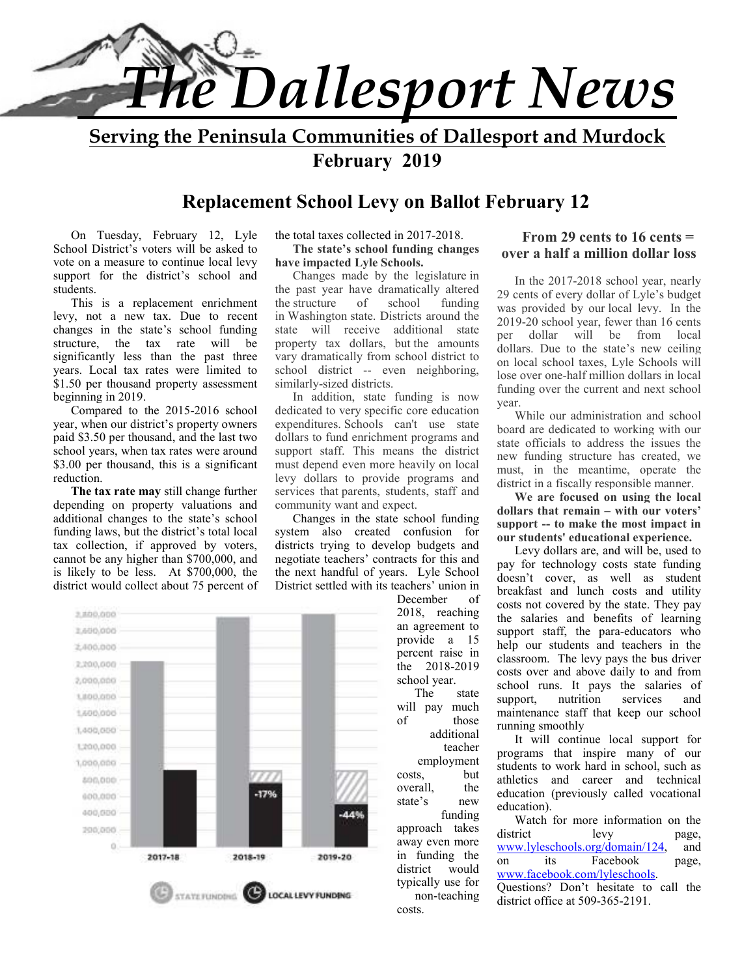

**Serving the Peninsula Communities of Dallesport and Murdock February 2019** 

## **Replacement School Levy on Ballot February 12**

On Tuesday, February 12, Lyle School District's voters will be asked to vote on a measure to continue local levy support for the district's school and students.

This is a replacement enrichment levy, not a new tax. Due to recent changes in the state's school funding structure, the tax rate will be significantly less than the past three years. Local tax rates were limited to \$1.50 per thousand property assessment beginning in 2019.

Compared to the 2015-2016 school year, when our district's property owners paid \$3.50 per thousand, and the last two school years, when tax rates were around \$3.00 per thousand, this is a significant reduction.

**The tax rate may** still change further depending on property valuations and additional changes to the state's school funding laws, but the district's total local tax collection, if approved by voters, cannot be any higher than \$700,000, and is likely to be less. At \$700,000, the district would collect about 75 percent of

#### the total taxes collected in 2017-2018. **The state's school funding changes**

**have impacted Lyle Schools.**  Changes made by the legislature in the past year have dramatically altered the structure of school funding in Washington state. Districts around the state will receive additional state property tax dollars, but the amounts vary dramatically from school district to school district -- even neighboring, similarly-sized districts.

In addition, state funding is now dedicated to very specific core education expenditures. Schools can't use state dollars to fund enrichment programs and support staff. This means the district must depend even more heavily on local levy dollars to provide programs and services that parents, students, staff and community want and expect.

Changes in the state school funding system also created confusion for districts trying to develop budgets and negotiate teachers' contracts for this and the next handful of years. Lyle School District settled with its teachers' union in



#### **From 29 cents to 16 cents = over a half a million dollar loss**

In the 2017-2018 school year, nearly 29 cents of every dollar of Lyle's budget was provided by our local levy. In the 2019-20 school year, fewer than 16 cents per dollar will be from local dollars. Due to the state's new ceiling on local school taxes, Lyle Schools will lose over one-half million dollars in local funding over the current and next school year.

While our administration and school board are dedicated to working with our state officials to address the issues the new funding structure has created, we must, in the meantime, operate the district in a fiscally responsible manner.

**We are focused on using the local dollars that remain – with our voters' support -- to make the most impact in our students' educational experience.** 

Levy dollars are, and will be, used to pay for technology costs state funding doesn't cover, as well as student breakfast and lunch costs and utility costs not covered by the state. They pay the salaries and benefits of learning support staff, the para-educators who help our students and teachers in the classroom. The levy pays the bus driver costs over and above daily to and from school runs. It pays the salaries of support, nutrition services and maintenance staff that keep our school running smoothly

It will continue local support for programs that inspire many of our students to work hard in school, such as athletics and career and technical education (previously called vocational education).

Watch for more information on the district levy page, www.lyleschools.org/domain/124, and<br>on its Facebook page. on its Facebook page, www.facebook.com/lyleschools. Questions? Don't hesitate to call the district office at 509-365-2191.

December of 2018, reaching an agreement to provide a 15 percent raise in the 2018-2019 school year.

The state will pay much of those additional teacher employment costs, but overall, the state's new funding approach takes away even more in funding the district would typically use for non-teaching costs.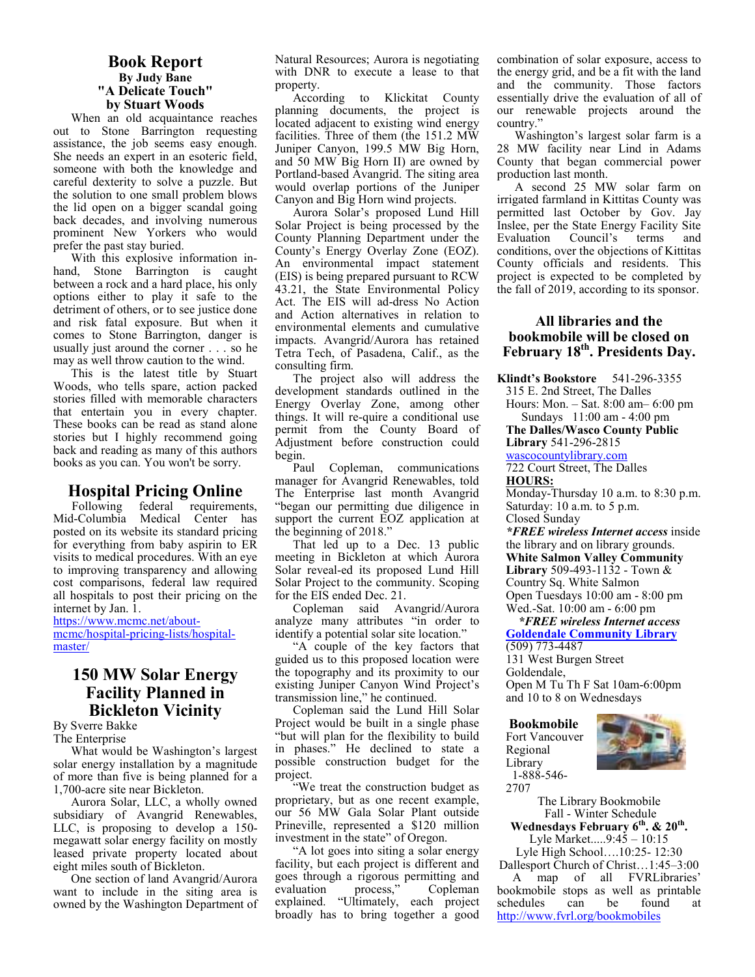#### **Book Report By Judy Bane "A Delicate Touch" by Stuart Woods**

When an old acquaintance reaches out to Stone Barrington requesting assistance, the job seems easy enough. She needs an expert in an esoteric field, someone with both the knowledge and careful dexterity to solve a puzzle. But the solution to one small problem blows the lid open on a bigger scandal going back decades, and involving numerous prominent New Yorkers who would prefer the past stay buried.

With this explosive information inhand, Stone Barrington is caught between a rock and a hard place, his only options either to play it safe to the detriment of others, or to see justice done and risk fatal exposure. But when it comes to Stone Barrington, danger is usually just around the corner . . . so he may as well throw caution to the wind.

This is the latest title by Stuart Woods, who tells spare, action packed stories filled with memorable characters that entertain you in every chapter. These books can be read as stand alone stories but I highly recommend going back and reading as many of this authors books as you can. You won't be sorry.

#### **Hospital Pricing Online**

Following federal requirements, Mid-Columbia Medical Center has posted on its website its standard pricing for everything from baby aspirin to ER visits to medical procedures. With an eye to improving transparency and allowing cost comparisons, federal law required all hospitals to post their pricing on the internet by Jan. 1.

https://www.mcmc.net/aboutmcmc/hospital-pricing-lists/hospitalmaster/

#### **150 MW Solar Energy Facility Planned in Bickleton Vicinity**

By Sverre Bakke The Enterprise

What would be Washington's largest solar energy installation by a magnitude of more than five is being planned for a 1,700-acre site near Bickleton.

Aurora Solar, LLC, a wholly owned subsidiary of Avangrid Renewables, LLC, is proposing to develop a 150 megawatt solar energy facility on mostly leased private property located about eight miles south of Bickleton.

One section of land Avangrid/Aurora want to include in the siting area is owned by the Washington Department of Natural Resources; Aurora is negotiating with DNR to execute a lease to that property.

According to Klickitat County planning documents, the project is located adjacent to existing wind energy facilities. Three of them (the 151.2 MW Juniper Canyon, 199.5 MW Big Horn, and 50 MW Big Horn II) are owned by Portland-based Avangrid. The siting area would overlap portions of the Juniper Canyon and Big Horn wind projects.

Aurora Solar's proposed Lund Hill Solar Project is being processed by the County Planning Department under the County's Energy Overlay Zone (EOZ). An environmental impact statement (EIS) is being prepared pursuant to RCW 43.21, the State Environmental Policy Act. The EIS will ad-dress No Action and Action alternatives in relation to environmental elements and cumulative impacts. Avangrid/Aurora has retained Tetra Tech, of Pasadena, Calif., as the consulting firm.

The project also will address the development standards outlined in the Energy Overlay Zone, among other things. It will re-quire a conditional use permit from the County Board of Adjustment before construction could begin.

Paul Copleman, communications manager for Avangrid Renewables, told The Enterprise last month Avangrid "began our permitting due diligence in support the current EOZ application at the beginning of 2018."

That led up to a Dec. 13 public meeting in Bickleton at which Aurora Solar reveal-ed its proposed Lund Hill Solar Project to the community. Scoping for the EIS ended Dec. 21.

Copleman said Avangrid/Aurora analyze many attributes "in order to identify a potential solar site location."

"A couple of the key factors that guided us to this proposed location were the topography and its proximity to our existing Juniper Canyon Wind Project's transmission line," he continued.

Copleman said the Lund Hill Solar Project would be built in a single phase "but will plan for the flexibility to build in phases." He declined to state a possible construction budget for the project.

"We treat the construction budget as proprietary, but as one recent example, our 56 MW Gala Solar Plant outside Prineville, represented a \$120 million investment in the state" of Oregon.

"A lot goes into siting a solar energy facility, but each project is different and goes through a rigorous permitting and evaluation process," Copleman explained. "Ultimately, each project broadly has to bring together a good combination of solar exposure, access to the energy grid, and be a fit with the land and the community. Those factors essentially drive the evaluation of all of our renewable projects around the country.'

Washington's largest solar farm is a 28 MW facility near Lind in Adams County that began commercial power production last month.

A second 25 MW solar farm on irrigated farmland in Kittitas County was permitted last October by Gov. Jay Inslee, per the State Energy Facility Site Evaluation Council's terms and conditions, over the objections of Kittitas County officials and residents. This project is expected to be completed by the fall of 2019, according to its sponsor.

#### **All libraries and the bookmobile will be closed on February 18th. Presidents Day.**

**Klindt's Bookstore** 541-296-3355

315 E. 2nd Street, The Dalles

Hours: Mon. – Sat. 8:00 am– 6:00 pm Sundays 11:00 am - 4:00 pm

**The Dalles/Wasco County Public Library** 541-296-2815

wascocountylibrary.com

722 Court Street, The Dalles **HOURS:** 

Monday-Thursday 10 a.m. to 8:30 p.m. Saturday: 10 a.m. to 5 p.m. Closed Sunday

*\*FREE wireless Internet access* inside the library and on library grounds. **White Salmon Valley Community Library** 509-493-1132 - Town & Country Sq. White Salmon Open Tuesdays 10:00 am - 8:00 pm

Wed.-Sat. 10:00 am - 6:00 pm  *\*FREE wireless Internet access*  **Goldendale Community Library**  (509) 773-4487

131 West Burgen Street Goldendale, Open M Tu Th F Sat 10am-6:00pm and 10 to 8 on Wednesdays

**Bookmobile**  Fort Vancouver Regional Library 1-888-546-



2707 The Library Bookmobile Fall - Winter Schedule

**Wednesdays February 6th. & 20th .**  Lyle Market.....9:45 – 10:15

Lyle High School….10:25- 12:30 Dallesport Church of Christ…1:45–3:00

 A map of all FVRLibraries' bookmobile stops as well as printable<br>schedules can be found at schedules can be found at http://www.fvrl.org/bookmobiles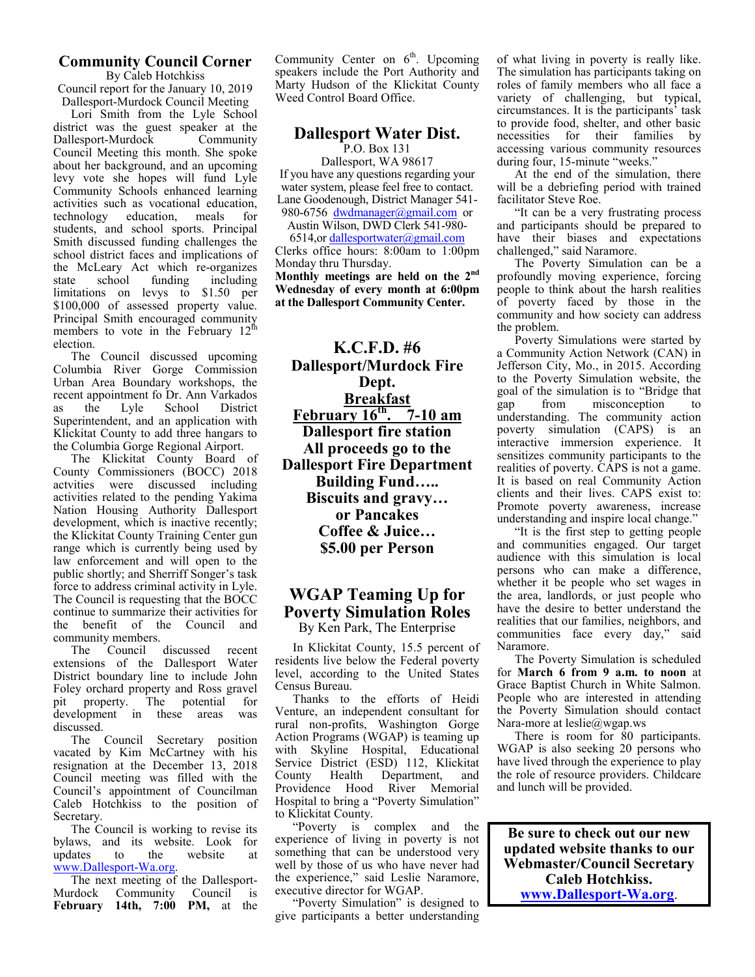#### **Community Council Corner**

By Caleb Hotchkiss Council report for the January 10, 2019 Dallesport-Murdock Council Meeting

Lori Smith from the Lyle School district was the guest speaker at the Dallesport-Murdock Community Council Meeting this month. She spoke about her background, and an upcoming levy vote she hopes will fund Lyle Community Schools enhanced learning activities such as vocational education,<br>technology education, meals for technology students, and school sports. Principal Smith discussed funding challenges the school district faces and implications of the McLeary Act which re-organizes<br>state school funding including state school funding including limitations on levys to \$1.50 per \$100,000 of assessed property value. Principal Smith encouraged community members to vote in the February  $12^{\text{th}}$ election.

The Council discussed upcoming Columbia River Gorge Commission Urban Area Boundary workshops, the recent appointment fo Dr. Ann Varkados<br>as the Lyle School District as the Lyle School Superintendent, and an application with Klickitat County to add three hangars to the Columbia Gorge Regional Airport.

The Klickitat County Board of County Commissioners (BOCC) 2018 actvities were discussed including activities related to the pending Yakima Nation Housing Authority Dallesport development, which is inactive recently; the Klickitat County Training Center gun range which is currently being used by law enforcement and will open to the public shortly; and Sherriff Songer's task force to address criminal activity in Lyle. The Council is requesting that the BOCC continue to summarize their activities for the benefit of the Council and community members.

The Council discussed recent extensions of the Dallesport Water District boundary line to include John Foley orchard property and Ross gravel pit property. The potential for development in these areas was discussed.

The Council Secretary position vacated by Kim McCartney with his resignation at the December 13, 2018 Council meeting was filled with the Council's appointment of Councilman Caleb Hotchkiss to the position of Secretary.

The Council is working to revise its bylaws, and its website. Look for updates to the website at updates to the website at www.Dallesport-Wa.org.

The next meeting of the Dallesport-Murdock Community Council is **February 14th, 7:00 PM,** at the Community Center on  $6<sup>th</sup>$ . Upcoming speakers include the Port Authority and Marty Hudson of the Klickitat County Weed Control Board Office.

## **Dallesport Water Dist.**

P.O. Box 131

Dallesport, WA 98617 If you have any questions regarding your water system, please feel free to contact. Lane Goodenough, District Manager 541- 980-6756 dwdmanager@gmail.com or

Austin Wilson, DWD Clerk 541-980-

6514,or dallesportwater@gmail.com Clerks office hours: 8:00am to 1:00pm Monday thru Thursday.

**Monthly meetings are held on the 2nd Wednesday of every month at 6:00pm at the Dallesport Community Center.** 

**K.C.F.D. #6 Dallesport/Murdock Fire Dept. Breakfast February 16th. 7-10 am Dallesport fire station All proceeds go to the Dallesport Fire Department Building Fund….. Biscuits and gravy… or Pancakes Coffee & Juice… \$5.00 per Person** 

## **WGAP Teaming Up for Poverty Simulation Roles**

By Ken Park, The Enterprise

In Klickitat County, 15.5 percent of residents live below the Federal poverty level, according to the United States Census Bureau.

Thanks to the efforts of Heidi Venture, an independent consultant for rural non-profits, Washington Gorge Action Programs (WGAP) is teaming up with Skyline Hospital, Educational Service District (ESD) 112, Klickitat County Health Department, and Providence Hood River Memorial Hospital to bring a "Poverty Simulation" to Klickitat County.

"Poverty is complex and the experience of living in poverty is not something that can be understood very well by those of us who have never had the experience," said Leslie Naramore, executive director for WGAP.

"Poverty Simulation" is designed to give participants a better understanding

of what living in poverty is really like. The simulation has participants taking on roles of family members who all face a variety of challenging, but typical, circumstances. It is the participants' task to provide food, shelter, and other basic necessities for their families by accessing various community resources during four, 15-minute "weeks."

At the end of the simulation, there will be a debriefing period with trained facilitator Steve Roe.

"It can be a very frustrating process and participants should be prepared to have their biases and expectations challenged," said Naramore.

The Poverty Simulation can be a profoundly moving experience, forcing people to think about the harsh realities of poverty faced by those in the community and how society can address the problem.

Poverty Simulations were started by a Community Action Network (CAN) in Jefferson City, Mo., in 2015. According to the Poverty Simulation website, the goal of the simulation is to "Bridge that gap from misconception to understanding. The community action poverty simulation (CAPS) is an interactive immersion experience. It sensitizes community participants to the realities of poverty. CAPS is not a game. It is based on real Community Action clients and their lives. CAPS exist to: Promote poverty awareness, increase understanding and inspire local change."

"It is the first step to getting people and communities engaged. Our target audience with this simulation is local persons who can make a difference, whether it be people who set wages in the area, landlords, or just people who have the desire to better understand the realities that our families, neighbors, and communities face every day," said Naramore.

The Poverty Simulation is scheduled for **March 6 from 9 a.m. to noon** at Grace Baptist Church in White Salmon. People who are interested in attending the Poverty Simulation should contact Nara-more at leslie@wgap.ws

There is room for 80 participants. WGAP is also seeking 20 persons who have lived through the experience to play the role of resource providers. Childcare and lunch will be provided.

**Be sure to check out our new updated website thanks to our Webmaster/Council Secretary Caleb Hotchkiss. www.Dallesport-Wa.org**.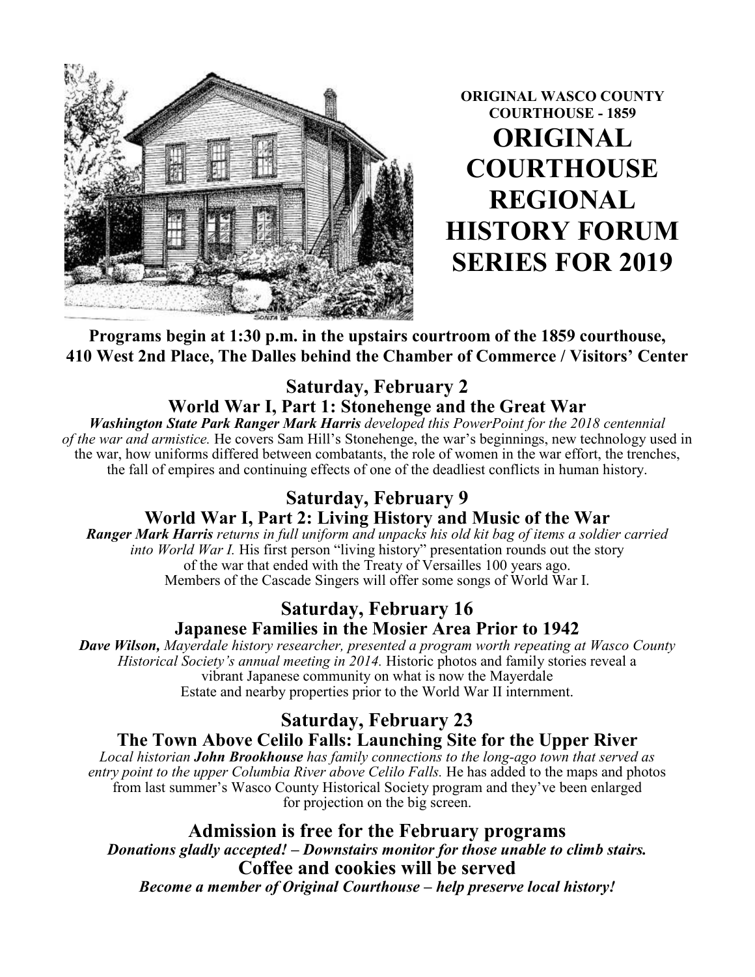

**ORIGINAL WASCO COUNTY COURTHOUSE - 1859 ORIGINAL COURTHOUSE REGIONAL HISTORY FORUM SERIES FOR 2019** 

## **Programs begin at 1:30 p.m. in the upstairs courtroom of the 1859 courthouse, 410 West 2nd Place, The Dalles behind the Chamber of Commerce / Visitors' Center**

## **Saturday, February 2**

## **World War I, Part 1: Stonehenge and the Great War**

*Washington State Park Ranger Mark Harris developed this PowerPoint for the 2018 centennial of the war and armistice.* He covers Sam Hill's Stonehenge, the war's beginnings, new technology used in the war, how uniforms differed between combatants, the role of women in the war effort, the trenches, the fall of empires and continuing effects of one of the deadliest conflicts in human history.

# **Saturday, February 9 World War I, Part 2: Living History and Music of the War**

*Ranger Mark Harris returns in full uniform and unpacks his old kit bag of items a soldier carried into World War I.* His first person "living history" presentation rounds out the story of the war that ended with the Treaty of Versailles 100 years ago. Members of the Cascade Singers will offer some songs of World War I.

## **Saturday, February 16 Japanese Families in the Mosier Area Prior to 1942**

*Dave Wilson, Mayerdale history researcher, presented a program worth repeating at Wasco County Historical Society's annual meeting in 2014.* Historic photos and family stories reveal a vibrant Japanese community on what is now the Mayerdale Estate and nearby properties prior to the World War II internment.

## **Saturday, February 23 The Town Above Celilo Falls: Launching Site for the Upper River**

*Local historian John Brookhouse has family connections to the long-ago town that served as entry point to the upper Columbia River above Celilo Falls.* He has added to the maps and photos from last summer's Wasco County Historical Society program and they've been enlarged for projection on the big screen.

**Admission is free for the February programs**  *Donations gladly accepted! – Downstairs monitor for those unable to climb stairs.*  **Coffee and cookies will be served**  *Become a member of Original Courthouse – help preserve local history!*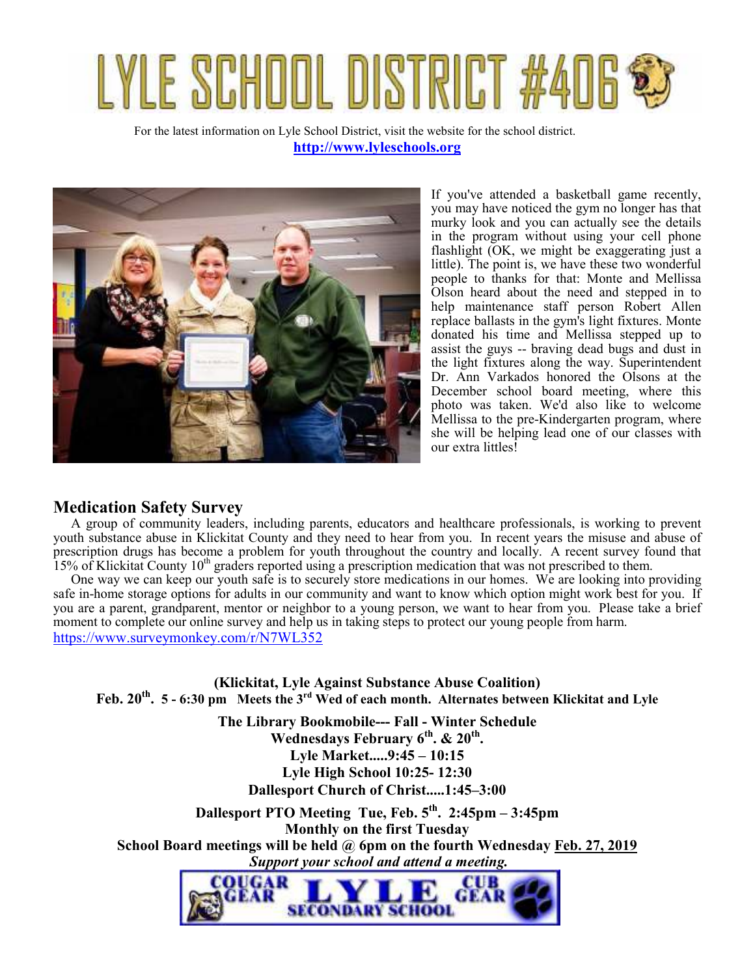# YLE SCHOOL DISTRICT

For the latest information on Lyle School District, visit the website for the school district. **http://www.lyleschools.org**



If you've attended a basketball game recently, you may have noticed the gym no longer has that murky look and you can actually see the details in the program without using your cell phone flashlight (OK, we might be exaggerating just a little). The point is, we have these two wonderful people to thanks for that: Monte and Mellissa Olson heard about the need and stepped in to help maintenance staff person Robert Allen replace ballasts in the gym's light fixtures. Monte donated his time and Mellissa stepped up to assist the guys -- braving dead bugs and dust in the light fixtures along the way. Superintendent Dr. Ann Varkados honored the Olsons at the December school board meeting, where this photo was taken. We'd also like to welcome Mellissa to the pre-Kindergarten program, where she will be helping lead one of our classes with our extra littles!

### **Medication Safety Survey**

A group of community leaders, including parents, educators and healthcare professionals, is working to prevent youth substance abuse in Klickitat County and they need to hear from you. In recent years the misuse and abuse of prescription drugs has become a problem for youth throughout the country and locally. A recent survey found that 15% of Klickitat County  $10<sup>th</sup>$  graders reported using a prescription medication that was not prescribed to them.

One way we can keep our youth safe is to securely store medications in our homes. We are looking into providing safe in-home storage options for adults in our community and want to know which option might work best for you. If you are a parent, grandparent, mentor or neighbor to a young person, we want to hear from you. Please take a brief moment to complete our online survey and help us in taking steps to protect our young people from harm. https://www.surveymonkey.com/r/N7WL352

**(Klickitat, Lyle Against Substance Abuse Coalition) Feb. 20th . 5 - 6:30 pm Meets the 3rd Wed of each month. Alternates between Klickitat and Lyle**

> **The Library Bookmobile--- Fall - Winter Schedule Wednesdays February 6th. & 20th . Lyle Market.....9:45 – 10:15 Lyle High School 10:25- 12:30 Dallesport Church of Christ.....1:45–3:00**

**Dallesport PTO Meeting Tue, Feb. 5th. 2:45pm – 3:45pm Monthly on the first Tuesday School Board meetings will be held @ 6pm on the fourth Wednesday Feb. 27, 2019**  *Support your school and attend a meeting.* 

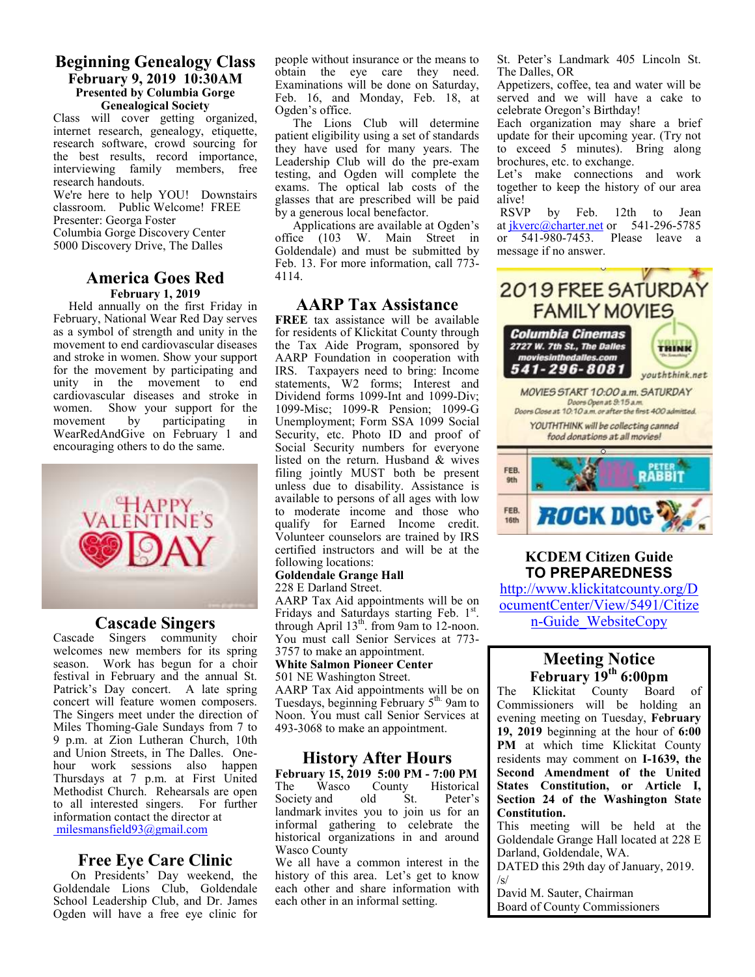#### **Beginning Genealogy Class February 9, 2019 10:30AM Presented by Columbia Gorge Genealogical Society**

Class will cover getting organized, internet research, genealogy, etiquette, research software, crowd sourcing for the best results, record importance, interviewing family members, free research handouts.

We're here to help YOU! Downstairs classroom. Public Welcome! FREE Presenter: Georga Foster Columbia Gorge Discovery Center

5000 Discovery Drive, The Dalles

#### **America Goes Red February 1, 2019**

 Held annually on the first Friday in February, National Wear Red Day serves as a symbol of strength and unity in the movement to end cardiovascular diseases and stroke in women. Show your support for the movement by participating and unity in the movement to end cardiovascular diseases and stroke in women. Show your support for the movement by participating in movement by participating in WearRedAndGive on February 1 and encouraging others to do the same.



#### **Cascade Singers**

Cascade Singers community choir welcomes new members for its spring season. Work has begun for a choir festival in February and the annual St. Patrick's Day concert. A late spring concert will feature women composers. The Singers meet under the direction of Miles Thoming-Gale Sundays from 7 to 9 p.m. at Zion Lutheran Church, 10th and Union Streets, in The Dalles. Onehour work sessions also happen Thursdays at 7 p.m. at First United Methodist Church. Rehearsals are open to all interested singers. For further information contact the director at milesmansfield93@gmail.com

#### **Free Eye Care Clinic**

On Presidents' Day weekend, the Goldendale Lions Club, Goldendale School Leadership Club, and Dr. James Ogden will have a free eye clinic for people without insurance or the means to obtain the eye care they need. Examinations will be done on Saturday, Feb. 16, and Monday, Feb. 18, at Ogden's office.

The Lions Club will determine patient eligibility using a set of standards they have used for many years. The Leadership Club will do the pre-exam testing, and Ogden will complete the exams. The optical lab costs of the glasses that are prescribed will be paid by a generous local benefactor.

Applications are available at Ogden's office (103 W. Main Street in Goldendale) and must be submitted by Feb. 13. For more information, call 773- 4114.

#### **AARP Tax Assistance**

**FREE** tax assistance will be available for residents of Klickitat County through the Tax Aide Program, sponsored by AARP Foundation in cooperation with IRS. Taxpayers need to bring: Income statements, W2 forms; Interest and Dividend forms 1099-Int and 1099-Div; 1099-Misc; 1099-R Pension; 1099-G Unemployment; Form SSA 1099 Social Security, etc. Photo ID and proof of Social Security numbers for everyone listed on the return. Husband & wives filing jointly MUST both be present unless due to disability. Assistance is available to persons of all ages with low to moderate income and those who qualify for Earned Income credit. Volunteer counselors are trained by IRS certified instructors and will be at the following locations:

#### **Goldendale Grange Hall**

228 E Darland Street.

AARP Tax Aid appointments will be on Fridays and Saturdays starting Feb. 1st. through April  $13<sup>th</sup>$ . from 9am to 12-noon. You must call Senior Services at 773- 3757 to make an appointment.

**White Salmon Pioneer Center**  501 NE Washington Street.

AARP Tax Aid appointments will be on Tuesdays, beginning February 5<sup>th.</sup> 9am to Noon. You must call Senior Services at 493-3068 to make an appointment.

### **History After Hours**

**February 15, 2019 5:00 PM - 7:00 PM**<br>The Wasco County Historical County Historical<br>old St. Peter's Society and landmark invites you to join us for an informal gathering to celebrate the historical organizations in and around Wasco County

We all have a common interest in the history of this area. Let's get to know each other and share information with each other in an informal setting.

St. Peter's Landmark 405 Lincoln St. The Dalles, OR

Appetizers, coffee, tea and water will be served and we will have a cake to celebrate Oregon's Birthday!

Each organization may share a brief update for their upcoming year. (Try not to exceed 5 minutes). Bring along brochures, etc. to exchange.

Let's make connections and work together to keep the history of our area alive!<br>RSVP

by Feb. 12th to Jean at jkverc@charter.net or 541-296-5785 or 541-980-7453. Please leave a message if no answer.



#### **KCDEM Citizen Guide TO PREPAREDNESS**

http://www.klickitatcounty.org/D ocumentCenter/View/5491/Citize n-Guide\_WebsiteCopy

#### **Meeting Notice February 19th 6:00pm**

The Klickitat County Board of Commissioners will be holding an evening meeting on Tuesday, **February 19, 2019** beginning at the hour of **6:00 PM** at which time Klickitat County residents may comment on **I-1639, the Second Amendment of the United States Constitution, or Article I, Section 24 of the Washington State Constitution.** 

This meeting will be held at the Goldendale Grange Hall located at 228 E Darland, Goldendale, WA.

DATED this 29th day of January, 2019.  $\sqrt{s}$ 

David M. Sauter, Chairman Board of County Commissioners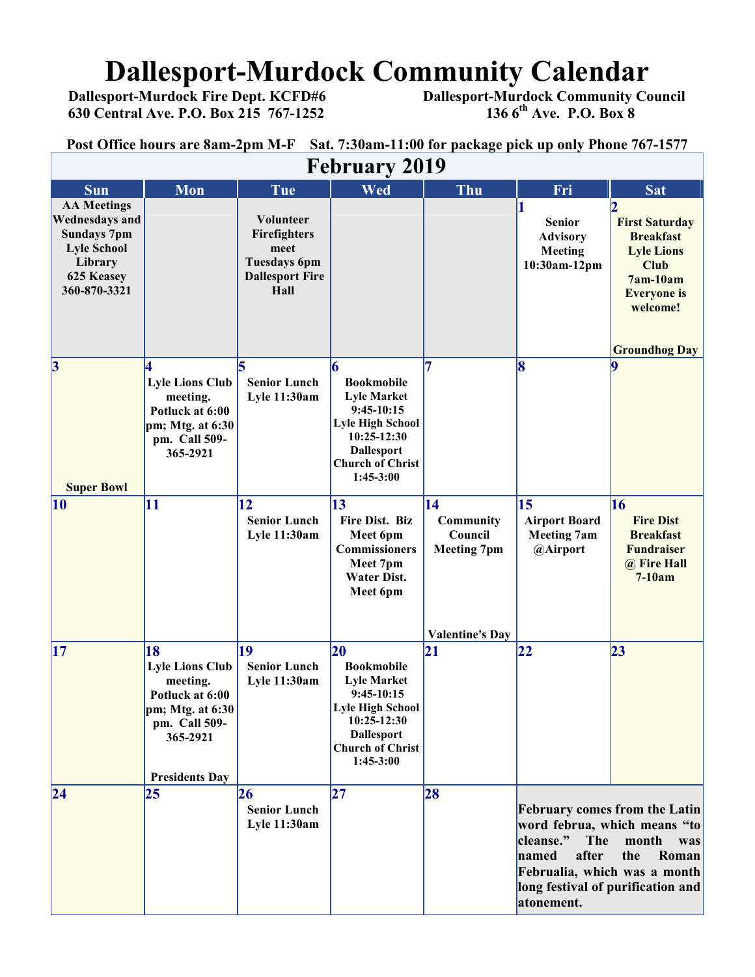# **Dallesport-Murdock Community Calendar**<br>Dallesport-Murdock Fire Dept. KCFD#6 Dallesport-Murdock Community Co

 **630 Central Ave. P.O. Box 215 767-1252 136 6th Ave. P.O. Box 8** 

# **Dallesport-Murdock Community Council 136 6<sup>th</sup> Ave. P.O. Box 8**

**Post Office hours are 8am-2pm M-F Sat. 7:30am-11:00 for package pick up only Phone 767-1577**

| <b>February 2019</b>                                                                                                             |                                                                                                                                       |                                                                                            |                                                                                                                                                                           |                                                                            |                                                                                                                                                                                                                               |                                                                                                                                                     |
|----------------------------------------------------------------------------------------------------------------------------------|---------------------------------------------------------------------------------------------------------------------------------------|--------------------------------------------------------------------------------------------|---------------------------------------------------------------------------------------------------------------------------------------------------------------------------|----------------------------------------------------------------------------|-------------------------------------------------------------------------------------------------------------------------------------------------------------------------------------------------------------------------------|-----------------------------------------------------------------------------------------------------------------------------------------------------|
| <b>Sun</b>                                                                                                                       | Mon                                                                                                                                   | Tue                                                                                        | Wed                                                                                                                                                                       | Thu                                                                        | Fri                                                                                                                                                                                                                           | <b>Sat</b>                                                                                                                                          |
| <b>AA Meetings</b><br><b>Wednesdays and</b><br><b>Sundays 7pm</b><br><b>Lyle School</b><br>Library<br>625 Keasey<br>360-870-3321 |                                                                                                                                       | Volunteer<br>Firefighters<br>meet<br><b>Tuesdays 6pm</b><br><b>Dallesport Fire</b><br>Hall |                                                                                                                                                                           |                                                                            | <b>Senior</b><br><b>Advisory</b><br>Meeting<br>10:30am-12pm                                                                                                                                                                   | <b>First Saturday</b><br><b>Breakfast</b><br><b>Lyle Lions</b><br><b>Club</b><br>7am-10am<br><b>Everyone</b> is<br>welcome!<br><b>Groundhog Day</b> |
| $\vert 3$<br><b>Super Bowl</b>                                                                                                   | <b>Lyle Lions Club</b><br>meeting.<br>Potluck at 6:00<br>pm; Mtg. at $6:30$<br>pm. Call 509-<br>365-2921                              | <b>Senior Lunch</b><br><b>Lyle 11:30am</b>                                                 | 6<br><b>Bookmobile</b><br><b>Lyle Market</b><br>$9:45-10:15$<br><b>Lyle High School</b><br>10:25-12:30<br><b>Dallesport</b><br><b>Church of Christ</b><br>1:45-3:00       | 7                                                                          | 18                                                                                                                                                                                                                            |                                                                                                                                                     |
| $ 10\rangle$                                                                                                                     | 11                                                                                                                                    | 12<br><b>Senior Lunch</b><br>Lyle 11:30am                                                  | 13<br>Fire Dist. Biz<br>Meet 6pm<br><b>Commissioners</b><br>Meet 7pm<br><b>Water Dist.</b><br>Meet 6pm                                                                    | 14<br>Community<br>Council<br><b>Meeting 7pm</b><br><b>Valentine's Day</b> | 15<br><b>Airport Board</b><br><b>Meeting 7am</b><br>@Airport                                                                                                                                                                  | 16<br><b>Fire Dist</b><br><b>Breakfast</b><br><b>Fundraiser</b><br>@ Fire Hall<br>$7-10am$                                                          |
| 17                                                                                                                               | 18<br><b>Lyle Lions Club</b><br>meeting.<br>Potluck at 6:00<br>pm; Mtg. at 6:30<br>pm. Call 509-<br>365-2921<br><b>Presidents Day</b> | 19<br><b>Senior Lunch</b><br>Lyle 11:30am                                                  | $ 20\rangle$<br><b>Bookmobile</b><br><b>Lyle Market</b><br>$9:45-10:15$<br>Lyle High School<br>10:25-12:30<br><b>Dallesport</b><br><b>Church of Christ</b><br>$1:45-3:00$ | 21                                                                         | 22                                                                                                                                                                                                                            | 23                                                                                                                                                  |
| $\overline{24}$                                                                                                                  | 25                                                                                                                                    | 26<br><b>Senior Lunch</b><br>Lyle 11:30am                                                  | 27                                                                                                                                                                        | 28                                                                         | <b>February comes from the Latin</b><br>word februa, which means "to<br>cleanse."<br>The<br>month<br>was<br>after<br>named<br>the<br>Roman<br>Februalia, which was a month<br>long festival of purification and<br>atonement. |                                                                                                                                                     |